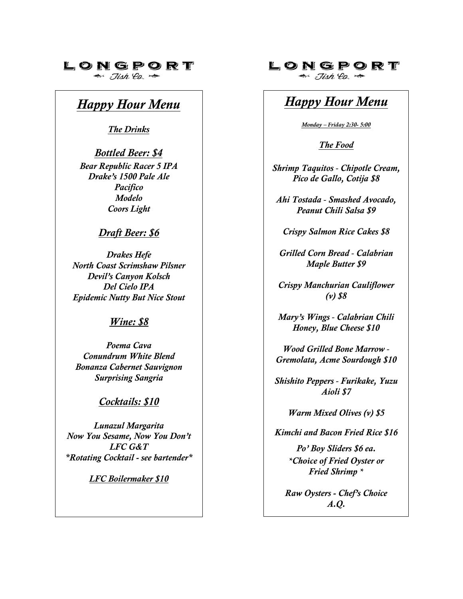## LONGPORT

 $\Rightarrow$   $\exists$ ish  $\ell_{0}$ .

# *Happy Hour Menu*

*The Drinks* 

*Bottled Beer: \$4 Bear Republic Racer 5 IPA Drake's 1500 Pale Ale Pacifico Modelo Coors Light* 

### *Draft Beer: \$6*

*Drakes Hefe North Coast Scrimshaw Pilsner Devil's Canyon Kolsch Del Cielo IPA Epidemic Nutty But Nice Stout* 

#### *Wine: \$8*

*Poema Cava Conundrum White Blend Bonanza Cabernet Sauvignon Surprising Sangria* 

### *Cocktails: \$10*

*Lunazul Margarita Now You Sesame, Now You Don't LFC G&T \*Rotating Cocktail - see bartender\**

*LFC Boilermaker \$10* 

### LONGPORT

 $\Rightarrow$  Jish Eq.  $\Rightarrow$ 

# *Happy Hour Menu*

*Monday – Friday 2:30- 5:00*

*The Food*

*Shrimp Taquitos - Chipotle Cream, Pico de Gallo, Cotija \$8* 

*Ahi Tostada - Smashed Avocado, Peanut Chili Salsa \$9* 

*Crispy Salmon Rice Cakes \$8* 

*Grilled Corn Bread - Calabrian Maple Butter \$9* 

*Crispy Manchurian Cauliflower (v) \$8*

*Mary's Wings - Calabrian Chili Honey, Blue Cheese \$10* 

*Wood Grilled Bone Marrow - Gremolata, Acme Sourdough \$10* 

*Shishito Peppers - Furikake, Yuzu Aioli \$7* 

*Warm Mixed Olives (v) \$5* 

*Kimchi and Bacon Fried Rice \$16* 

*Po' Boy Sliders \$6 ea. \*Choice of Fried Oyster or Fried Shrimp \**

*Raw Oysters - Chef's Choice A.Q.*